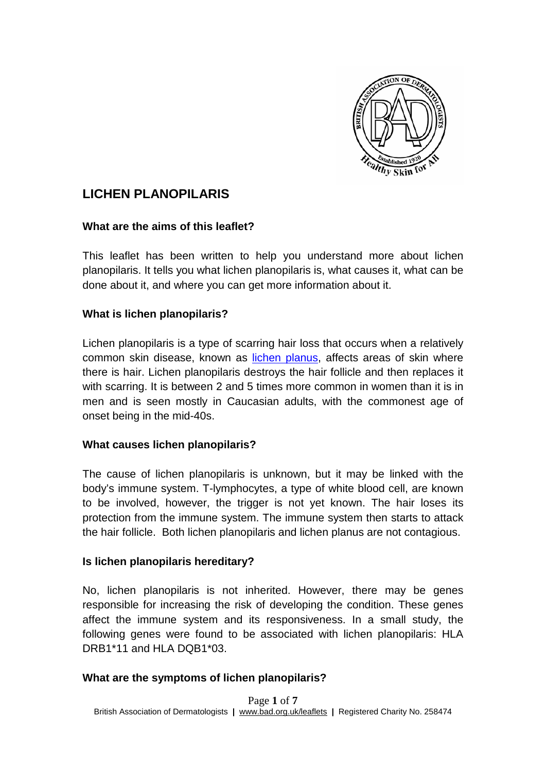

# **LICHEN PLANOPILARIS**

#### **What are the aims of this leaflet?**

This leaflet has been written to help you understand more about lichen planopilaris. It tells you what lichen planopilaris is, what causes it, what can be done about it, and where you can get more information about it.

### **What is lichen planopilaris?**

Lichen planopilaris is a type of scarring hair loss that occurs when a relatively common skin disease, known as [lichen planus,](http://www.bad.org.uk/for-the-public/patient-information-leaflets/lichen-planus) affects areas of skin where there is hair. Lichen planopilaris destroys the hair follicle and then replaces it with scarring. It is between 2 and 5 times more common in women than it is in men and is seen mostly in Caucasian adults, with the commonest age of onset being in the mid-40s.

### **What causes lichen planopilaris?**

The cause of lichen planopilaris is unknown, but it may be linked with the body's immune system. T-lymphocytes, a type of white blood cell, are known to be involved, however, the trigger is not yet known. The hair loses its protection from the immune system. The immune system then starts to attack the hair follicle. Both lichen planopilaris and lichen planus are not contagious.

#### **Is lichen planopilaris hereditary?**

No, lichen planopilaris is not inherited. However, there may be genes responsible for increasing the risk of developing the condition. These genes affect the immune system and its responsiveness. In a small study, the following genes were found to be associated with lichen planopilaris: HLA DRB1\*11 and HLA DOB1\*03.

#### **What are the symptoms of lichen planopilaris?**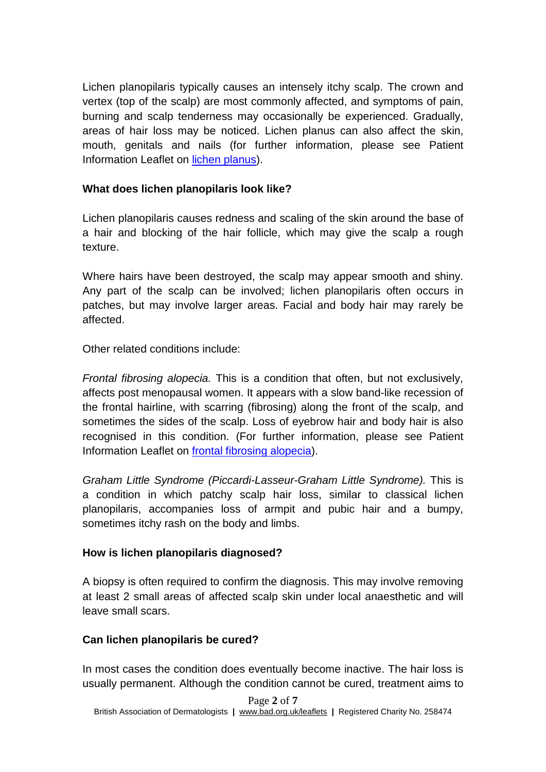Lichen planopilaris typically causes an intensely itchy scalp. The crown and vertex (top of the scalp) are most commonly affected, and symptoms of pain, burning and scalp tenderness may occasionally be experienced. Gradually, areas of hair loss may be noticed. Lichen planus can also affect the skin, mouth, genitals and nails (for further information, please see Patient Information Leaflet on [lichen planus\)](http://www.bad.org.uk/for-the-public/patient-information-leaflets/lichen-planus).

## **What does lichen planopilaris look like?**

Lichen planopilaris causes redness and scaling of the skin around the base of a hair and blocking of the hair follicle, which may give the scalp a rough texture.

Where hairs have been destroyed, the scalp may appear smooth and shiny. Any part of the scalp can be involved; lichen planopilaris often occurs in patches, but may involve larger areas. Facial and body hair may rarely be affected.

Other related conditions include:

*Frontal fibrosing alopecia.* This is a condition that often, but not exclusively, affects post menopausal women. It appears with a slow band-like recession of the frontal hairline, with scarring (fibrosing) along the front of the scalp, and sometimes the sides of the scalp. Loss of eyebrow hair and body hair is also recognised in this condition. (For further information, please see Patient Information Leaflet on [frontal fibrosing alopecia\)](http://www.bad.org.uk/for-the-public/patient-information-leaflets/frontal-fibrosing-alopecia).

*Graham Little Syndrome (Piccardi-Lasseur-Graham Little Syndrome).* This is a condition in which patchy scalp hair loss, similar to classical lichen planopilaris, accompanies loss of armpit and pubic hair and a bumpy, sometimes itchy rash on the body and limbs.

### **How is lichen planopilaris diagnosed?**

A biopsy is often required to confirm the diagnosis. This may involve removing at least 2 small areas of affected scalp skin under local anaesthetic and will leave small scars.

# **Can lichen planopilaris be cured?**

In most cases the condition does eventually become inactive. The hair loss is usually permanent. Although the condition cannot be cured, treatment aims to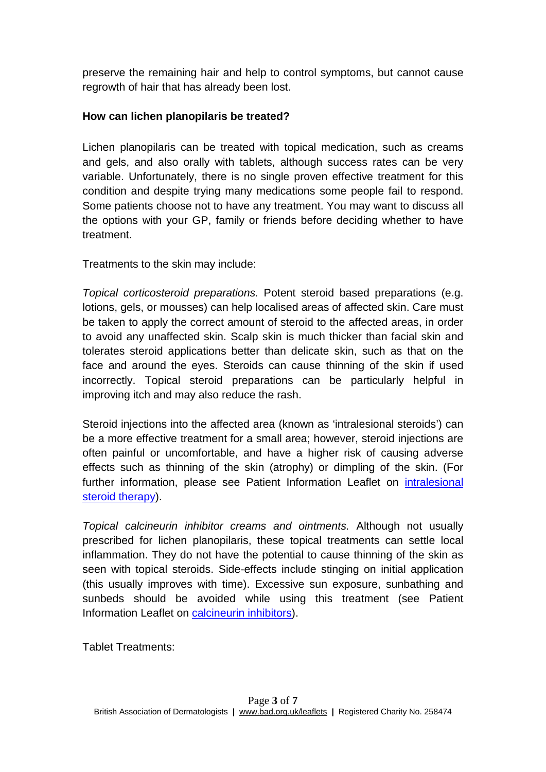preserve the remaining hair and help to control symptoms, but cannot cause regrowth of hair that has already been lost.

## **How can lichen planopilaris be treated?**

Lichen planopilaris can be treated with topical medication, such as creams and gels, and also orally with tablets, although success rates can be very variable. Unfortunately, there is no single proven effective treatment for this condition and despite trying many medications some people fail to respond. Some patients choose not to have any treatment. You may want to discuss all the options with your GP, family or friends before deciding whether to have treatment.

Treatments to the skin may include:

*Topical corticosteroid preparations.* Potent steroid based preparations (e.g. lotions, gels, or mousses) can help localised areas of affected skin. Care must be taken to apply the correct amount of steroid to the affected areas, in order to avoid any unaffected skin. Scalp skin is much thicker than facial skin and tolerates steroid applications better than delicate skin, such as that on the face and around the eyes. Steroids can cause thinning of the skin if used incorrectly. Topical steroid preparations can be particularly helpful in improving itch and may also reduce the rash.

Steroid injections into the affected area (known as 'intralesional steroids') can be a more effective treatment for a small area; however, steroid injections are often painful or uncomfortable, and have a higher risk of causing adverse effects such as thinning of the skin (atrophy) or dimpling of the skin. (For further information, please see Patient Information Leaflet on intralesional [steroid therapy\)](http://www.bad.org.uk/for-the-public/patient-information-leaflets/intralesional-steroid-therapy).

*Topical calcineurin inhibitor creams and ointments.* Although not usually prescribed for lichen planopilaris, these topical treatments can settle local inflammation. They do not have the potential to cause thinning of the skin as seen with topical steroids. Side-effects include stinging on initial application (this usually improves with time). Excessive sun exposure, sunbathing and sunbeds should be avoided while using this treatment (see Patient Information Leaflet on [calcineurin inhibitors\)](http://www.bad.org.uk/for-the-public/patient-information-leaflets/calcineurin-inhibitors).

Tablet Treatments: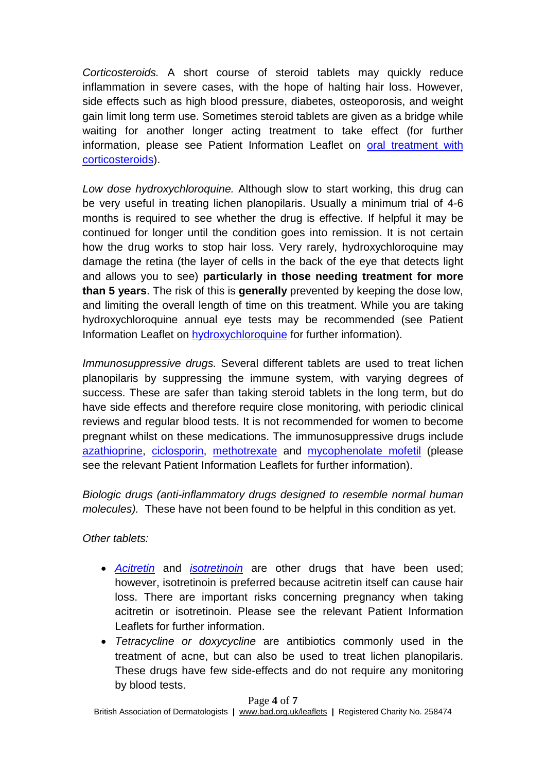*Corticosteroids.* A short course of steroid tablets may quickly reduce inflammation in severe cases, with the hope of halting hair loss. However, side effects such as high blood pressure, diabetes, osteoporosis, and weight gain limit long term use. Sometimes steroid tablets are given as a bridge while waiting for another longer acting treatment to take effect (for further information, please see Patient Information Leaflet on [oral treatment with](http://www.bad.org.uk/for-the-public/patient-information-leaflets/oral-treatment-with-corticosteroids)  [corticosteroids\)](http://www.bad.org.uk/for-the-public/patient-information-leaflets/oral-treatment-with-corticosteroids).

*Low dose hydroxychloroquine.* Although slow to start working, this drug can be very useful in treating lichen planopilaris. Usually a minimum trial of 4-6 months is required to see whether the drug is effective. If helpful it may be continued for longer until the condition goes into remission. It is not certain how the drug works to stop hair loss. Very rarely, hydroxychloroquine may damage the retina (the layer of cells in the back of the eye that detects light and allows you to see) **particularly in those needing treatment for more than 5 years**. The risk of this is **generally** prevented by keeping the dose low, and limiting the overall length of time on this treatment. While you are taking hydroxychloroquine annual eye tests may be recommended (see Patient Information Leaflet on [hydroxychloroquine](http://www.bad.org.uk/for-the-public/patient-information-leaflets/hydroxychloroquine) for further information).

*Immunosuppressive drugs.* Several different tablets are used to treat lichen planopilaris by suppressing the immune system, with varying degrees of success. These are safer than taking steroid tablets in the long term, but do have side effects and therefore require close monitoring, with periodic clinical reviews and regular blood tests. It is not recommended for women to become pregnant whilst on these medications. The immunosuppressive drugs include [azathioprine,](http://www.bad.org.uk/for-the-public/patient-information-leaflets/azathioprine) [ciclosporin,](http://www.bad.org.uk/for-the-public/patient-information-leaflets/ciclosporin) [methotrexate](http://www.bad.org.uk/for-the-public/patient-information-leaflets/methotrexate) and [mycophenolate mofetil](http://www.bad.org.uk/for-the-public/patient-information-leaflets/mycophenolate-mofetil) (please see the relevant Patient Information Leaflets for further information).

*Biologic drugs (anti-inflammatory drugs designed to resemble normal human molecules).* These have not been found to be helpful in this condition as yet.

*Other tablets:*

- *[Acitretin](http://www.bad.org.uk/for-the-public/patient-information-leaflets/acitretin)* and *[isotretinoin](http://www.bad.org.uk/for-the-public/patient-information-leaflets/isotretinoin)* are other drugs that have been used; however, isotretinoin is preferred because acitretin itself can cause hair loss. There are important risks concerning pregnancy when taking acitretin or isotretinoin. Please see the relevant Patient Information Leaflets for further information.
- *Tetracycline or doxycycline* are antibiotics commonly used in the treatment of acne, but can also be used to treat lichen planopilaris. These drugs have few side-effects and do not require any monitoring by blood tests.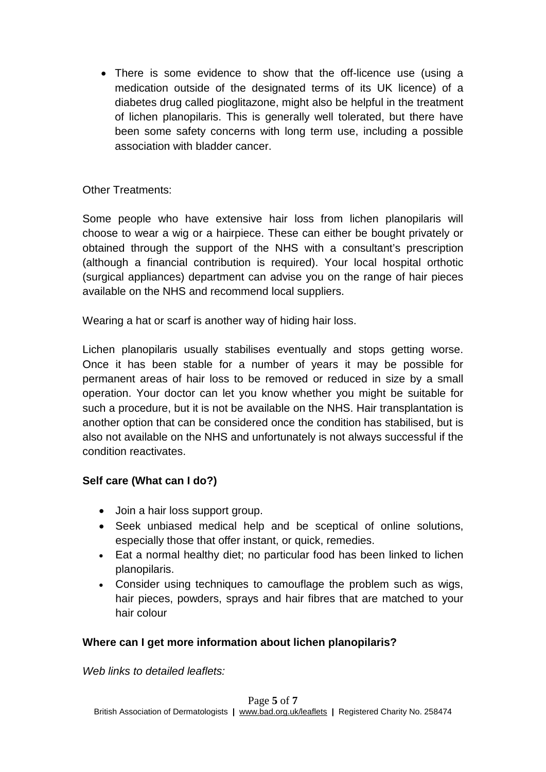• There is some evidence to show that the off-licence use (using a medication outside of the designated terms of its UK licence) of a diabetes drug called pioglitazone, might also be helpful in the treatment of lichen planopilaris. This is generally well tolerated, but there have been some safety concerns with long term use, including a possible association with bladder cancer.

## Other Treatments:

Some people who have extensive hair loss from lichen planopilaris will choose to wear a wig or a hairpiece. These can either be bought privately or obtained through the support of the NHS with a consultant's prescription (although a financial contribution is required). Your local hospital orthotic (surgical appliances) department can advise you on the range of hair pieces available on the NHS and recommend local suppliers.

Wearing a hat or scarf is another way of hiding hair loss.

Lichen planopilaris usually stabilises eventually and stops getting worse. Once it has been stable for a number of years it may be possible for permanent areas of hair loss to be removed or reduced in size by a small operation. Your doctor can let you know whether you might be suitable for such a procedure, but it is not be available on the NHS. Hair transplantation is another option that can be considered once the condition has stabilised, but is also not available on the NHS and unfortunately is not always successful if the condition reactivates.

# **Self care (What can I do?)**

- Join a hair loss support group.
- Seek unbiased medical help and be sceptical of online solutions, especially those that offer instant, or quick, remedies.
- Eat a normal healthy diet; no particular food has been linked to lichen planopilaris.
- Consider using techniques to camouflage the problem such as wigs, hair pieces, powders, sprays and hair fibres that are matched to your hair colour

# **Where can I get more information about lichen planopilaris?**

*Web links to detailed leaflets:*